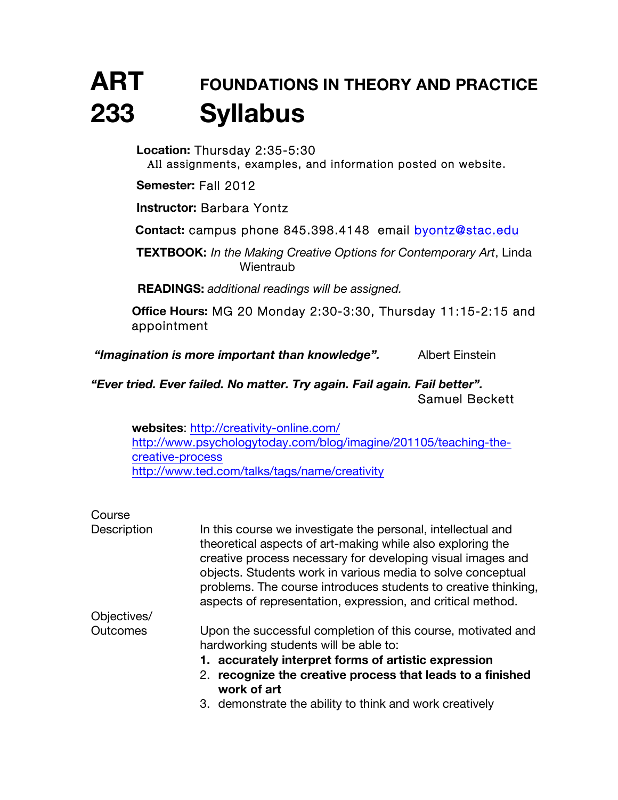# **ART FOUNDATIONS IN THEORY AND PRACTICE 233 Syllabus**

**Location:** Thursday 2:35-5:30 All assignments, examples, and information posted on website.

**Semester:** Fall 2012

**Instructor:** Barbara Yontz

**Contact:** campus phone 845.398.4148 email byontz@stac.edu

**TEXTBOOK:** *In the Making Creative Options for Contemporary Art*, Linda **Wientraub** 

**READINGS:** *additional readings will be assigned.*

**Office Hours:** MG 20 Monday 2:30-3:30, Thursday 11:15-2:15 and appointment

*"Imagination is more important than knowledge".* Albert Einstein

*"Ever tried. Ever failed. No matter. Try again. Fail again. Fail better".* Samuel Beckett

**websites**: http://creativity-online.com/ http://www.psychologytoday.com/blog/imagine/201105/teaching-thecreative-process http://www.ted.com/talks/tags/name/creativity

| Course          |                                                                                                                                                                                                                                                                                                                                                                                           |  |  |  |  |
|-----------------|-------------------------------------------------------------------------------------------------------------------------------------------------------------------------------------------------------------------------------------------------------------------------------------------------------------------------------------------------------------------------------------------|--|--|--|--|
| Description     | In this course we investigate the personal, intellectual and<br>theoretical aspects of art-making while also exploring the<br>creative process necessary for developing visual images and<br>objects. Students work in various media to solve conceptual<br>problems. The course introduces students to creative thinking,<br>aspects of representation, expression, and critical method. |  |  |  |  |
| Objectives/     |                                                                                                                                                                                                                                                                                                                                                                                           |  |  |  |  |
| <b>Outcomes</b> | Upon the successful completion of this course, motivated and<br>hardworking students will be able to:                                                                                                                                                                                                                                                                                     |  |  |  |  |
|                 | 1. accurately interpret forms of artistic expression                                                                                                                                                                                                                                                                                                                                      |  |  |  |  |
|                 | recognize the creative process that leads to a finished<br>2.<br>work of art                                                                                                                                                                                                                                                                                                              |  |  |  |  |
|                 | 3. demonstrate the ability to think and work creatively                                                                                                                                                                                                                                                                                                                                   |  |  |  |  |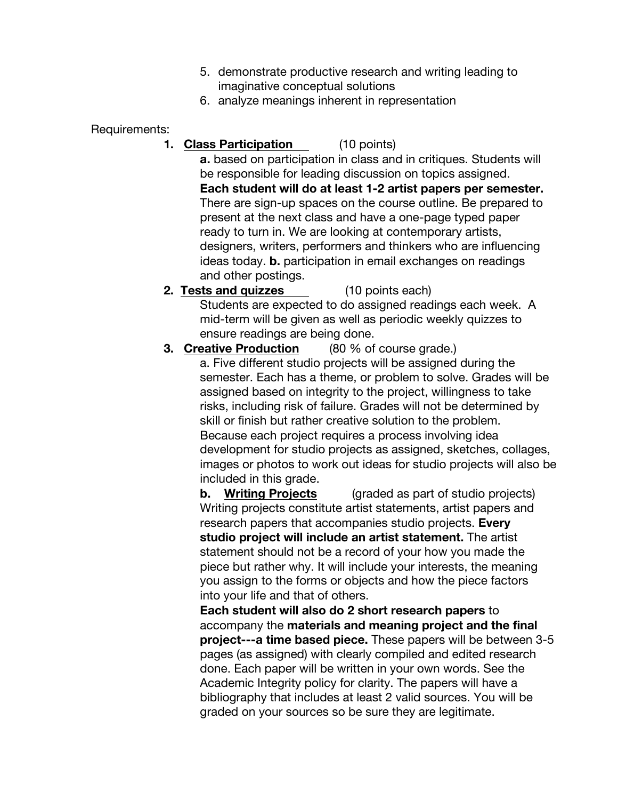- 5. demonstrate productive research and writing leading to imaginative conceptual solutions
- 6. analyze meanings inherent in representation

Requirements:

**1. Class Participation** (10 points)

**a.** based on participation in class and in critiques. Students will be responsible for leading discussion on topics assigned. **Each student will do at least 1-2 artist papers per semester.** There are sign-up spaces on the course outline. Be prepared to present at the next class and have a one-page typed paper ready to turn in. We are looking at contemporary artists, designers, writers, performers and thinkers who are influencing ideas today. **b.** participation in email exchanges on readings and other postings.

**2. Tests and quizzes** (10 points each) Students are expected to do assigned readings each week. A mid-term will be given as well as periodic weekly quizzes to ensure readings are being done.

**3. Creative Production** (80 % of course grade.) a. Five different studio projects will be assigned during the semester. Each has a theme, or problem to solve. Grades will be assigned based on integrity to the project, willingness to take risks, including risk of failure. Grades will not be determined by skill or finish but rather creative solution to the problem. Because each project requires a process involving idea development for studio projects as assigned, sketches, collages, images or photos to work out ideas for studio projects will also be included in this grade.

**b. Writing Projects** (graded as part of studio projects) Writing projects constitute artist statements, artist papers and research papers that accompanies studio projects. **Every studio project will include an artist statement.** The artist statement should not be a record of your how you made the piece but rather why. It will include your interests, the meaning you assign to the forms or objects and how the piece factors into your life and that of others.

**Each student will also do 2 short research papers** to accompany the **materials and meaning project and the final project---a time based piece.** These papers will be between 3-5 pages (as assigned) with clearly compiled and edited research done. Each paper will be written in your own words. See the Academic Integrity policy for clarity. The papers will have a bibliography that includes at least 2 valid sources. You will be graded on your sources so be sure they are legitimate.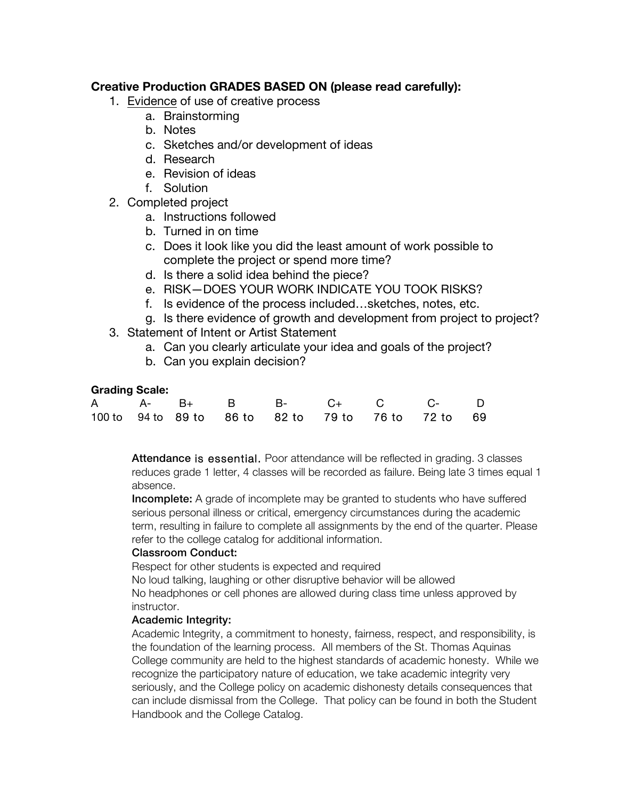# **Creative Production GRADES BASED ON (please read carefully):**

- 1. Evidence of use of creative process
	- a. Brainstorming
	- b. Notes
	- c. Sketches and/or development of ideas
	- d. Research
	- e. Revision of ideas
	- f. Solution
- 2. Completed project
	- a. Instructions followed
	- b. Turned in on time
	- c. Does it look like you did the least amount of work possible to complete the project or spend more time?
	- d. Is there a solid idea behind the piece?
	- e. RISK—DOES YOUR WORK INDICATE YOU TOOK RISKS?
	- f. Is evidence of the process included…sketches, notes, etc.
	- g. Is there evidence of growth and development from project to project?
- 3. Statement of Intent or Artist Statement
	- a. Can you clearly articulate your idea and goals of the project?
	- b. Can you explain decision?

## **Grading Scale:**

|  |  |  | A A- B+ B B- C+ C C- D                              |  |
|--|--|--|-----------------------------------------------------|--|
|  |  |  | 100 to 94 to 89 to 86 to 82 to 79 to 76 to 72 to 69 |  |

Attendance is essential. Poor attendance will be reflected in grading. 3 classes reduces grade 1 letter, 4 classes will be recorded as failure. Being late 3 times equal 1 absence.

**Incomplete:** A grade of incomplete may be granted to students who have suffered serious personal illness or critical, emergency circumstances during the academic term, resulting in failure to complete all assignments by the end of the quarter. Please refer to the college catalog for additional information.

### Classroom Conduct:

Respect for other students is expected and required

No loud talking, laughing or other disruptive behavior will be allowed

No headphones or cell phones are allowed during class time unless approved by instructor.

# Academic Integrity:

Academic Integrity, a commitment to honesty, fairness, respect, and responsibility, is the foundation of the learning process. All members of the St. Thomas Aquinas College community are held to the highest standards of academic honesty. While we recognize the participatory nature of education, we take academic integrity very seriously, and the College policy on academic dishonesty details consequences that can include dismissal from the College. That policy can be found in both the Student Handbook and the College Catalog.